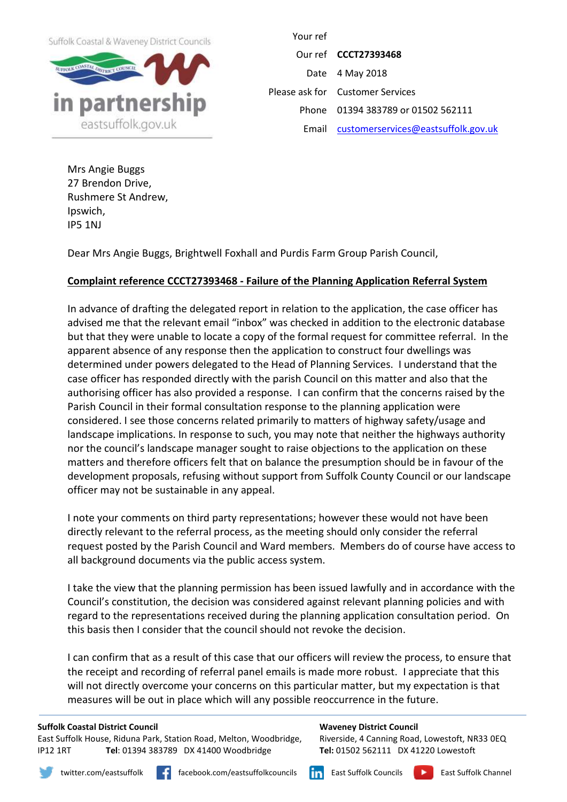Suffolk Coastal & Waveney District Councils



Your ref Our ref **CCCT27393468** Date 4 May 2018 Please ask for Customer Services Phone 01394 383789 or 01502 562111 Email [customerservices@eastsuffolk.gov.uk](mailto:customerservices@eastsuffolk.gov.uk)

Mrs Angie Buggs 27 Brendon Drive, Rushmere St Andrew, Ipswich, IP5 1NJ

Dear Mrs Angie Buggs, Brightwell Foxhall and Purdis Farm Group Parish Council,

# **Complaint reference CCCT27393468 - Failure of the Planning Application Referral System**

In advance of drafting the delegated report in relation to the application, the case officer has advised me that the relevant email "inbox" was checked in addition to the electronic database but that they were unable to locate a copy of the formal request for committee referral. In the apparent absence of any response then the application to construct four dwellings was determined under powers delegated to the Head of Planning Services. I understand that the case officer has responded directly with the parish Council on this matter and also that the authorising officer has also provided a response. I can confirm that the concerns raised by the Parish Council in their formal consultation response to the planning application were considered. I see those concerns related primarily to matters of highway safety/usage and landscape implications. In response to such, you may note that neither the highways authority nor the council's landscape manager sought to raise objections to the application on these matters and therefore officers felt that on balance the presumption should be in favour of the development proposals, refusing without support from Suffolk County Council or our landscape officer may not be sustainable in any appeal.

I note your comments on third party representations; however these would not have been directly relevant to the referral process, as the meeting should only consider the referral request posted by the Parish Council and Ward members. Members do of course have access to all background documents via the public access system.

I take the view that the planning permission has been issued lawfully and in accordance with the Council's constitution, the decision was considered against relevant planning policies and with regard to the representations received during the planning application consultation period. On this basis then I consider that the council should not revoke the decision.

I can confirm that as a result of this case that our officers will review the process, to ensure that the receipt and recording of referral panel emails is made more robust. I appreciate that this will not directly overcome your concerns on this particular matter, but my expectation is that measures will be out in place which will any possible reoccurrence in the future.

### **Suffolk Coastal District Council**

East Suffolk House, Riduna Park, Station Road, Melton, Woodbridge, IP12 1RT **Tel**: 01394 383789 DX 41400 Woodbridge

#### **Waveney District Council**

Riverside, 4 Canning Road, Lowestoft, NR33 0EQ **Tel:** 01502 562111 DX 41220 Lowestoft